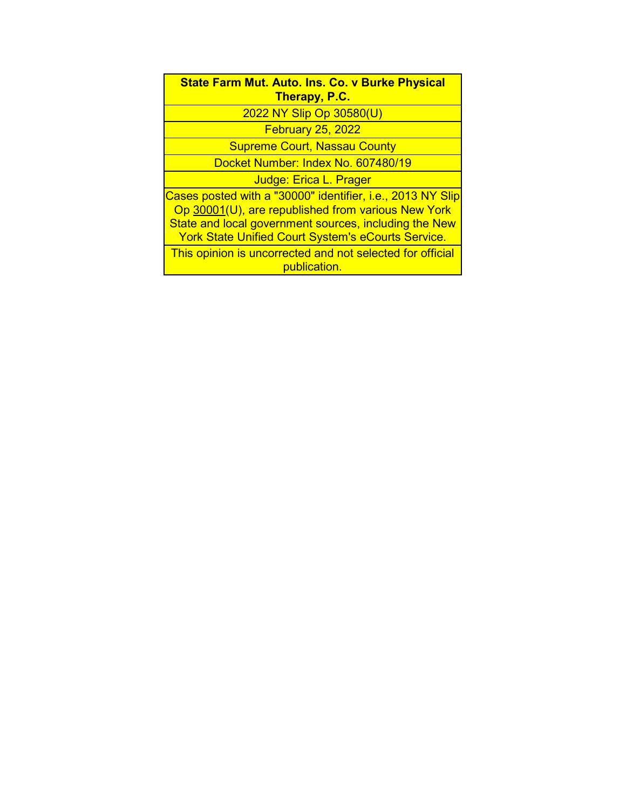| <b>State Farm Mut. Auto. Ins. Co. v Burke Physical</b><br>Therapy, P.C. |
|-------------------------------------------------------------------------|
| 2022 NY Slip Op 30580(U)                                                |
| <b>February 25, 2022</b>                                                |
| <b>Supreme Court, Nassau County</b>                                     |
| Docket Number: Index No. 607480/19                                      |
| Judge: Erica L. Prager                                                  |
| Cases posted with a "30000" identifier, i.e., 2013 NY Slip              |
| Op 30001(U), are republished from various New York                      |
| State and local government sources, including the New                   |
| <b>York State Unified Court System's eCourts Service.</b>               |

This opinion is uncorrected and not selected for official publication.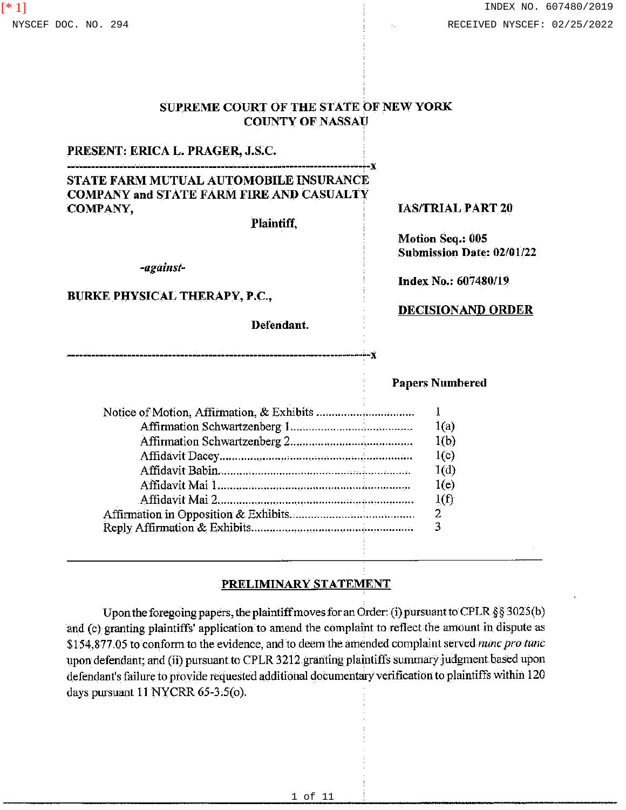# SUPREME COURT OF THE STATE OF NEW YORK

# PRESENT: ERICA L. PRAGER, J.S.C.

# --------------- - ------------------------------------------------------X STATE FARM MUTUAL AUTOMOBILE INSURANCE COMPANY and STATE FARM FIRE AND CASUALTY COMPANY,

--------------------------------------------------------------------·-x

Plaintiff,

COUNTY OF NASSAU

*-against-*

#### BURKE PHYSICAL THERAPY, P.C.,

Defendant.

#### !AS/TRIAL PART 20

Motion Seq.: 005 Submission Date: 02/01/22

**Index No.: 607480/19** 

#### **DECISIONAND ORDER**

#### Papers Numbered

| 1(a) |
|------|
| 1(b) |
| 1(c) |
| 1(d) |
| 1(e) |
| 1(f) |
| 2.   |
|      |
|      |

#### **PRELIMINARY STATEMENT**

Upon the foregoing papers, the plaintiff moves for an Order: (i) pursuant to CPLR § § 3025(b) and (c) granting plaintiffs' application to amend the complaint to reflect the amount in dispute as \$154,877.05 to conform to the evidence, and to deem the amended complaint served *nunc pro tune*  upon defendant; and (ii) pursuant to CPLR 3212 granting plaintiffs summary judgment based upon defendant's failure to provide requested additional documentary verification to plaintiffs within 120 days pursuant 11 NYCRR 65-3.5(0).

[\* 1]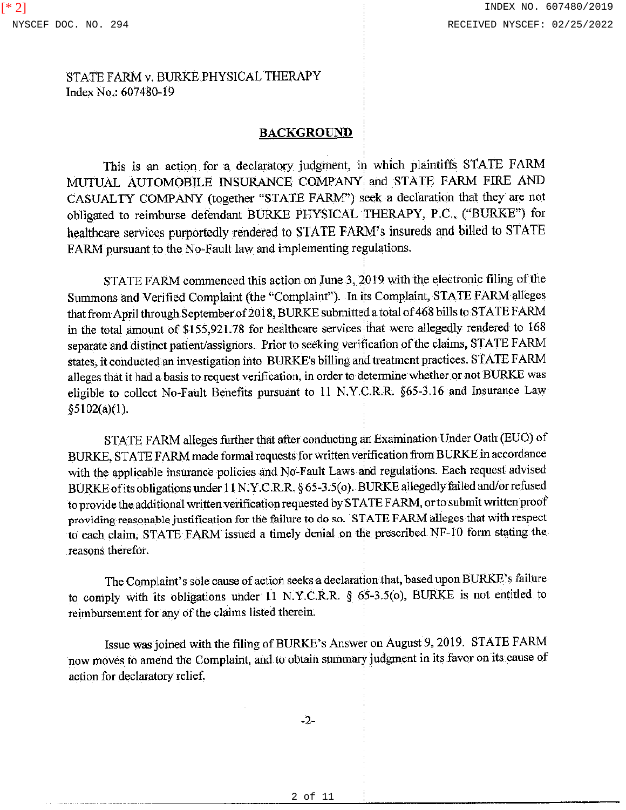#### **BACKGROUND**

This is an action for a, declaratory judgment, in which plaintiffs STATE FARM MUTUAL AUTOMOBILE INSURANCE COMPANY and STATE FARM FIRE AND CASUALTY COMPANY (together "STATE FARM'') seek a declaration that they are not obligated to reimburse defendant BURKE PHYSICAL THERAPY, P.C., ("BURKE") for healthcare services purportedly rendered to STATE FARM's insureds and billed to STATE FARM pursuant to the No-Fault law and implementing regulations.

STATE FARM commenced this action on June 3, 2019 with the electronic filing of the Summons and Verified Complaint (the "Complaint"). In its Complaint, STATE FARM alleges that from April through September of 2018, BURKE submitted a total of 468 bills to STATE FARM in the total amount of \$155,921.78 for healthcare services that were allegedly rendered to 168 separate and distinct patient/assignors. Prior to seeking verification of the claims, STATE FARM states, it conducted an investigation into BURKE's billing and treatment practices. STATE FARM alleges that it had a basis to request verification, in order to detennine whether or not BURKE was eligible to collect No-Fault Benefits pursuant to 11 N.Y.C.R.R §65-3.16 and Insurance Law §5102(a)(l).

STATE FARM alleges further that after conducting an Examination Under Oath (EUO) of BURKE, STATE FARM made formal requests for written verification from BURKE in accordance with the applicable insurance policies and No-Fault Laws and regulations. Each request advised BURKE ofits obligations under 11 N.Y.C.R.R. § 65-3.5(0 ). BURKE allegedly failed and/orrefused to provide the additional written verification requested by ST ATE FARM, or to submit written proof providing reasonable justification for the failure to do so. STATE FARM alleges that with respect to each claim, STATE FARM issued a timely denial on the prescribed NF-10 form stating the reasons therefor.

The Complaint's sole cause of action seeks a declaration that, based upon BURK.E's failure to comply with its obligations under 11 N.Y.C.R.R. § 65-3.5(0), BURKE is not entitled to reimbursement for any of the claims listed therein.

Issue was joined with the filing ofBURKE's Answer on August 9, 2019. STATE FARM now moves to amend the Complaint, and to obtain summary judgment in its favor on its cause of action for declaratory relief.

-2-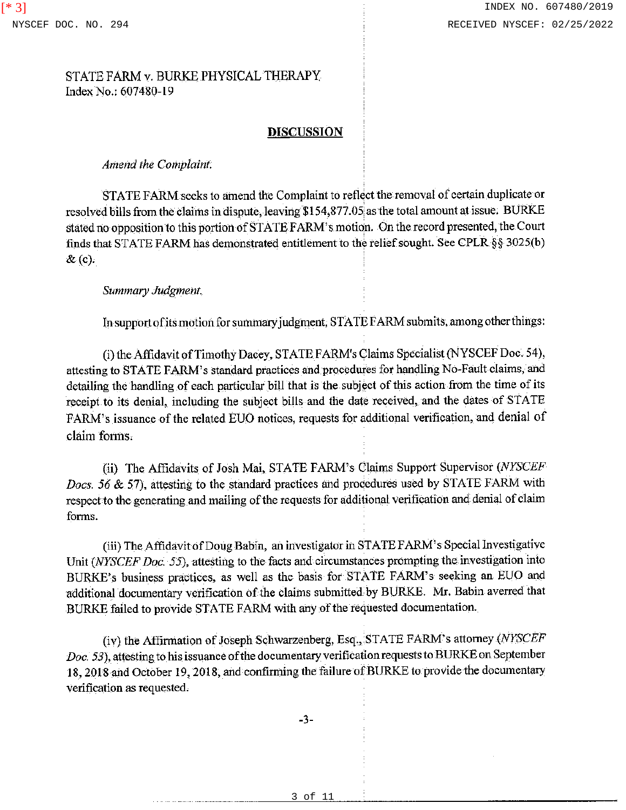### **DISCUSSION**

#### *Amend the Complaint.*

STATE FARM seeks to amend the Complaint to reflect the removal of certain duplicate or resolved bills from the claims in dispute, leaving \$154,877 .05;as the total amount at issue. BURKE stated no opposition to this portion of STATE FARM's motion. On the record presented, the Court finds that STATE FARM has demonstrated entitlement to the relief sought. See CPLR §§ 3025(b)  $\&$  (c).

#### *Summary Judgment.*

In support ofits motion for summary judgment, STA TE FARM submits, among other things:

(i) the Affidavit of Timothy Dacey, STATE F ARM's Claims Specialist (NYSCEF Doc. 54 ), attesting to STATE FARM's standard practices and procedures for handling No-Fault claims, and detailing the handling of each particular bill that is the subject of this action from the time of its receipt to its denial, including the subject bills and the date received, and the dates of STATE FARM's issuance of the related EUO notices, requests for additional verification, and denial of claim forms.

(ii) The Affidavits of Josh Mai, STATE FARM's Claims Support Supervisor *(NYSCEF Docs. 56* & 57), attesting to the standard practices and procedures used by STATE FARM with respect to the generating and mailing of the requests for additional verification and denial of claim forms.

(iii) The Affidavit of Doug Babin, an investigator in STATE F ARM's Special Investigative Unit (NYSCEF Doc. 55), attesting to the facts and circumstances prompting the investigation into BURKE's business practices, as well as the basis for STATE FARM's seeking an EUO and additional documentary verification of the claims submitted by BURKE. Mr. Babin averred that BURKE failed to provide STATE FARM with any of the requested documentation.

(iv) the Affirmation of Joseph Schwarzenberg, Esq., STA TE F ARM's attorney *(NYSCEF Doc. 53),* attesting to his issuance of the documentary verification requests to BURKE on September 18, 2018 and October 19, 2018, and confirming the failure of BURKE to provide the documentary verification as requested.

-3-

3 of 11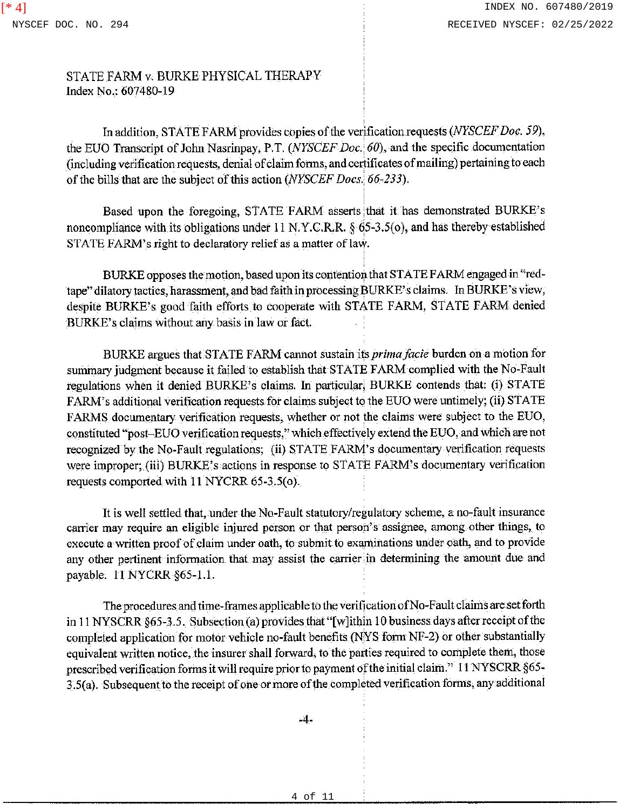In addition, STATE FARM provides copies of the verification requests *(NYSCEF Doc. 59),*  the EUO Transcript of John Nasrinpay, P.T. *(NYSCEF Doc. 60),* and the specific documentation (including verification requests, denial of claim forms, and certificates of mailing) pertaining to each of the bills that are the subject of this action *(NYSCEF Docs.· 66-233).* 

Based upon the foregoing, STATE FARM asserts that it has demonstrated BURKE's noncompliance with its obligations under 11 N.Y.C.R.R. § 65-3.5(o), and has thereby established STATE FARM's right to declaratory relief as a matter of law.

BURKE opposes the motion, based upon its contention that STATE FARM engaged in "redtape" dilatory tactics, harassment, and bad faith in processing BURKE' s claims. In BURKE' s view, despite BURKE's good faith efforts to cooperate with STATE FARM, STATE FARM denied BURK.E's claims without any basis in law or fact.

BURKE argues that STATE FARM cannot sustain its *primafacie* burden on a motion for summary judgment because it failed to establish that STATE FARM complied with the No-Fault regulations when it denied BURKE's claims. In particular, BURKE contends that: (i) STATE FARM's additional verification requests for claims subject to the EUO were untimely; (ii) STATE FARMS documentary verification requests, whether or not the claims were subject to the EUO, constituted "post-EUO verification requests,"which effectively extend the EUO, and which are not recognized by the No-Fault regulations; (ii) STATE FARM's documentary verification requests were improper; (iii) BURK.E's actions in response to STATE FARM's documentary verification requests comported with 11 NYCRR 65-3.5(0).

It is well settled that, under the No-Fault statutory/regulatory scheme, a no-fault insurance carrier may require an eligible injured person or that person's assignee, among other things, to execute a written proof of claim under oath, to submit to examinations under oath, and to provide any other pertinent information that may assist the carrier in determining the amount due and payable.  $11$  NYCRR  $§65-1.1$ .

The procedures and time-frames applicable to the verification ofNo-Fault claims are set forth in 11 NYSCRR §65-3.5. Subsection (a) provides that "[w]ithin 10 business days after receipt of the completed application for motor vehicle no-fault benefits (NYS fonn NF-2) or other substantially equivalent written notice, the insurer shall forward, to the parties required to complete them, those prescribed verification fonns it will require prior to payment of the initial claim." 11 NYSCRR §65- 3.S(a). Subsequent to the receipt of one or more of the completed verification forms, any additional

-4-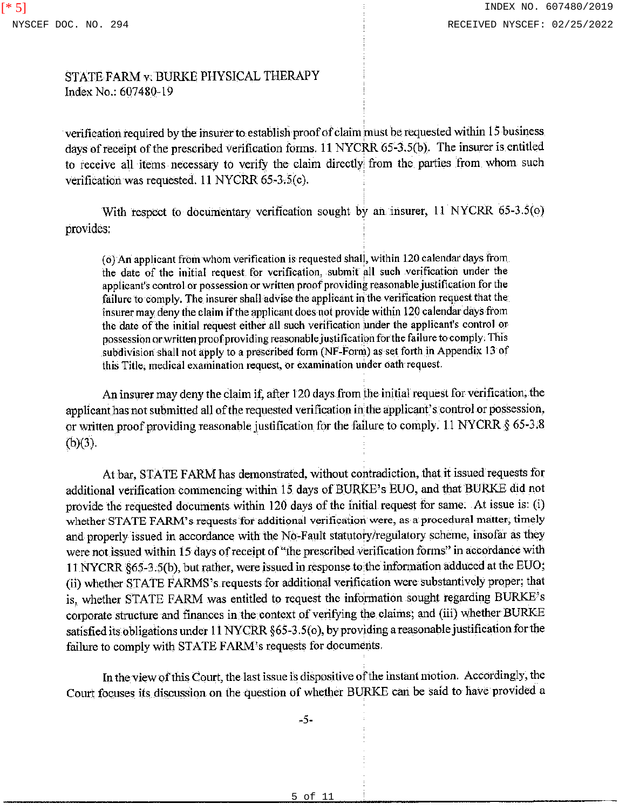verification required by the insurer to establish proof of claim must be requested within 15 business days of receipt of the prescribed verification forms. 11 NYCRR 65-3.5(b). The insurer is entitled to receive all items necessary to verify the claim directly: from the parties from whom such verification was requested. 11 NYCRR 65-3,S(c).

With respect to documentary verification sought by an insurer, 11 NYCRR 65-3.5(0) provides:

(o) An applicant from whom verification is requested shall, within 120 calendar days from the date of the initial request for verification, submit all such verification under the applicant's control or possession or written proof providing reasonable justification for the failure to comply. The insurer shall advise the applicant in the verification request that the insurer may deny the claim if the applicant does not provide within 120 calendar days from the date of the initial request either all such verification under the applicant's control or possession or written proof providing reasonable justification for the failure to comply. This subdivision shall not apply to a prescribed fonn (NF-Form) as set forth in Appendix 13 of this Title, medical examination request, or examination under oath request.

An insurer may deny the claim if, after 120 days from the initial request for verification, the applicant has not submitted all of the requested verification in the applicant's control or possession, or written proof providing reasonable justification for the failure to comply. 11 NYCRR § 65-3.8  $(b)(3)$ .

At bar, STA TE FARM has demonstrated, without contradiction, that it issued requests for additional verification commencing within 15 days of BURKE's EUO, and that BURKE did not provide the requested documents within 120 days of the initial request for same. At issue is: (i) whether STATE FARM's requests for additional verification were, as a procedural matter, timely and properly issued in accordance with the No-Fault statutory/regulatory scheme, insofar as they were not issued within 15 days of receipt of "the prescribed verification forms" in accordance with 11 NYCRR §65-3.S(b), but rather, were issued in response to-the information adduced at the EUO; (ii) whether STATE FARMS's requests for additional verification were substantively proper; that is, whether STATE FARM was entitled to request the information sought regarding BURKE's corporate structure and finances in the context of verifying the claims; and (iii) whether BURKE satisfied its obligations under 11 NYCRR §65-3.5(0), by providing a reasonable justification for the failure to comply with STATE FARM's requests for documents.

In the view of this Court, the last issue is dispositive of the instant motion. Accordingly, the Court focuses its discussion on the question of whether BURKE can be said to have provided a

-5-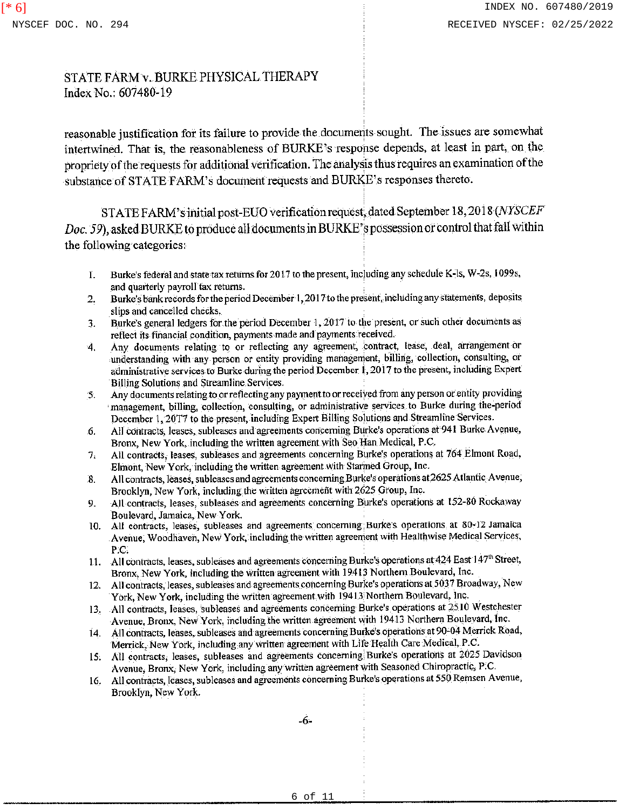reasonable justification for its failure to provide the documents sought. The issues are somewhat intertwined. That is, the reasonableness of BURKE's response depends, at least in part, on the propriety of the requests for additional verification. The analysis thus requires an examination of the substance of STATE FARM's document requests and BURKE's responses thereto.

ST ATE FARM' s initial post-EUO verification request, dated September 18, 2018 *(NYSCEF Doc. 59),* asked BURKE to produce all documents in BURKE' s possession or control that fall within the following categories:

- 1. Burke's federal and state tax returns for 2017 to the present, inc)uding any schedule K-1s, W-2s, I 099s, and quarterly payroll tax returns.
- 2. Burke's bank records for the period December I, 2017 to the present, including any statements, deposits slips and cancelled checks.
- 3. Burke's general ledgers for the period December 1, 2017 to the present, or such other documents as reflect its financial condition, payments made and payments received.
- 4. Any documents relating to or reflecting any agreement, contract, lease, deal, arrangement or understanding with any person or entity providing management, billing, collection, consulting, or administrative services to Burke during the period December i, 2017 to the present, including Expert Billing Solutions and Streamline Services.
- 5. Any documents relating to or reflecting any payment to or received from any person or entity providing management, billing, collection, consulting, or administrative services to Burke during the-period December 1, 20T7 to the present, including Expert Billing Solutions and Streamline Services.
- 6. All contracts, leases, subleases and agreements concerning Burke's operations at 941 Burke-Avenue, Bronx, New York, including the written agreement with Seo Han Medical, P.C.
- 7. All contracts, leases, subleases and agreements concerning Burke's operations at 764 Elmont Road, Elmont, New York, including the written agreement with Starmed Group, Inc.
- 8. All contracts, leases, subleases and agreements concerning Burke's operations at 2625 Atlantic Avenue, Brooklyn, New York, including the written agreement with 2625 Group, Inc.
- 9. All contracts, leases, subleases and agreements concerning Burke's operations at 152-80 Rockaway Boulevard, Jamaica, New York.
- IO. All contracts, leases, subleases and agreements concerning Burke's operations at 30-12 Jamaica Avenue, Woodhaven, New York, including the written agreement with Healthwise Medical Services, P.C.
- 11. All contracts, leases, subleases and agreements concerning Burke's operations at 424 East 147th Street, Bronx, New York, including the written agreement with 19413 Northern Boulevard, Inc.
- 12. All contracts, leases, subleases and agreements concerning Burke's operations at 5037 Broadway, New York, New York, including the written agreement with 19413 Northern Boulevard, Inc.
- 13. All contracts, leases, subleases and agreements concerning Burke's operations at 2510 Westchester Avenue, Bronx, New York, including the written agreement with 19413 Northern Boulevard, Inc.
- 14. All contracts, leases, subleases and agreements concerning Burke's operations at 90-04 Merrick Road, Merrick, New York, including any written agreement with Life Health Care Medical, P .C.
- 15. All contracts, leases, subleases and agreements concerning. Burke's operations at 2025 Davidson Avenue, Bronx, New York, including any written agreement with Seasoned Chiropractic, P.C.
- 16. All contracts, leases, subleases and agreements concerning Burke's operations at 550 Remsen Avenue, Brooklyn, New York.

-6-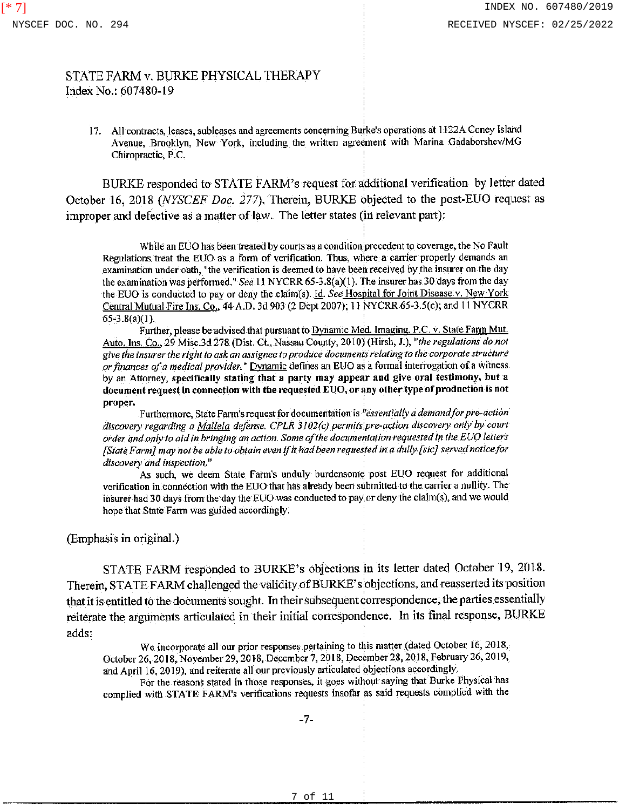17. All contracts, leases, subleases and agreements concerning Burke's operations at 1122A Coney Island Avenue, Brooklyn, New York, including the written agreement with Marina Gadaborshev/MG Chiropractic, P.C.

BURKE responded to STATE FARM's request for additional verification by letter dated October 16, 2018 *(NYSCEF Doc. 277).* Therein, BURKE objected to the post-EUO request as improper and defective as a matter of law. The letter states (in relevant part):

While an EUO has been treated by courts as a condition-precedent to coverage, the No Fault Regulations treat the EUO as a form of verification. Thus, where a carrier properly demands an examination under oath, "the verification is deemed to have been received by the insurer on the day the examination was performed." *See* 11 NYCRR 65-3.8(a)(1). The insurer has 30 days from the day the EUO is conducted to pay or deny the claim(s). Id. *See* Hospital for Joint Disease v. New York Central Mutual Fire Ins. Co., 44 A.D. 3d 903 (2 Dept 2007); 11 NYCRR 65-3.S(c); and 11 NYCRR  $65 - 3.8(a)(1)$ .

Further, please be advised that pursuant to Dynamic Med. Imaging. P.C. v. State Farm Mut. Auto. Ins. Co., *29* Misc.3d 278 (Dist. Ct., Nassau County, 2010) (Hirsh, J.), *''the regulations do not give the insurer the right to ask an assignee to produce documents relating to the corporate structure or finances of a medical provider."* Dynamic defines an EUO as a fonnal interrogation of a witness by an Attorney, specifically stating that a party may appear and give oral testimony, but a document request in connection with the requested EUO, or any other type of production is not proper.

Furthennore, State Fann's request for documentation is *<sup>1</sup> 'essentialiy a demand for pre-action*  discovery regarding a *Mallela defense. CPLR 3102(c) permits pre-action discovery only by court order and only to aid in bringing an action. Some of the documentation requested in the EUO letters [State Farm] may not be able to obtain even ifit had been requested in a dully [sic] served notice for discovery and inspection."* 

As such, we deem State Farm's unduly burdensome post EUO request for additional verification in connection with the EUO that has already been slibmitted to the carrier a nullity. The insurer had 30 days from the day the EUO was conducted to pay.or deny the claim(s), and we would hope that State Fann was guided accordingly.

(Emphasis in original.)

STATE FARM responded to BURKE's objections in its letter dated October 19, 2018. Therein, STATE FARM challenged the validity of BURKE' s objections, and reasserted its position that it is entitled to the documents sought. In their subsequent correspondence, the parties essentially reiterate the arguments articulated in their initial correspondence. fu its final response, BURKE adds:

We incorporate all our prior responses pertaining to this matter (dated October 16, 2018, October 26, 2018, November 29, 2018, December 7, 2018, December 28, 2018, February 26,2019, and April 16, 2019), and reiterate all our previously articulated pbjections accordingly.

For the reasons stated in those responses, it goes without saying that Burke Physical has complied with STATE FARM's verifications requests insofar as said requests complied with the

-7-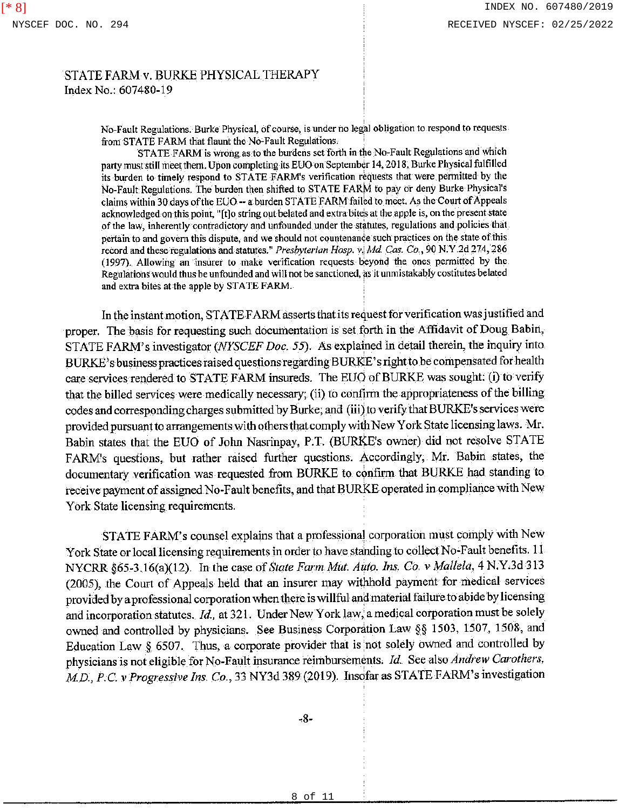No-Fault Regulations. Burke Physical, of course, is under no legal obligation to respond to requests from STATE FARM that flaunt the No-Fault Regulations. ·

STATE FARM is wrong as to the burdens set forth in the No-Fault Regulations and which party must still meet them. Upon completing its EUO on September 14, 2018, Burke Physical fulfilled its burden to timely respond to ST A TE F ARM's verification requests that were pennitted by the No-Fault Regulations. The burden then shifted to STATE FARM to pay or deny Burke Physical's claims within 30 days of the EUO-- a burden STATE FARM failed to meet. As the Court of Appeals acknowledged on this point, "[t]o string out belated and extra bites at the apple is, on the present state of the law, inherently contradictory and unfounded under the statutes, regulations and policies that pertain to and govern this dispute, and we should not countenance such practices on the state of this record and these regulations and statutes." *Presbyterian Hosp.* v., *Md Cas. Co.,* 90 N. Y .2d 274, 286 (1997). Allowing an insurer to make verification requests beyond the ones pennitted by the Regulations would thus be unfounded and will not be sanctioned, as it unmistakably costitutes belated and extra bites at the apple by STATE FARM.

In the instant motion, STATE-FARM asserts that its request for verification was justified and proper. The basis for requesting such documentation is set forth in the Affidavit of Doug Babin, STATE FARM's investigator *(NYSCEF Doc. 55)*. As explained in detail therein, the inquiry into BURKE's business practices raised questions regarding BURKE' s right to be compensated for health care services rendered to STATE FARM insureds. The EUO of BURKE was sought: (i) to verify that the billed services were medically necessary; (ii) to confirm the appropriateness of the billing codes and corresponding charges submitted by Burke; and (iii) to verify that BURK.E's services were provided pursuant to arrangements with others that comply with New York State licensing laws. Mr. Babin states that the EUO of John Nasrinpay, P.T. (BURKE's owner) did not resolve STATE FARM's questions, but rather raised further questions. Accordingly, Mr. Babin states, the documentary verification was requested from BURKE to confirm that BURKE had standing to receive payment of assigned No-Fault benefits, and that BURKE operated in compliance with New York State licensing requirements.

STATE FARM's counsel explains that a professional corporation must comply with New York State or local licensing requirements in order to have standing to collect No-Fault benefits. 11 NYCRR §65-3.16(a)(12). In the case of *State Farm Mut. Auto. Ins. Co. v Mallela*, 4 N.Y.3d 313 (2005), the Court of Appeals held that an insurer may withhold payrnerit for medical services provided by a professional corporation when there is willful and material failure to abide by licensing and incorporation statutes. *Id,* at 321. Under New York law, a medical corporation must be solely owned and controlled by physicians. See Business Corporation Law§§ 1503, 1507, 1508, and Education Law  $\S$  6507. Thus, a corporate provider that is not solely owned and controlled by physicians is not eligible for No-Fault insurance reimbursements. *Id.* See also *Andrew Carothers*, *MD., P.C. v Progressive Ins. Co.,* 33 NY3d 389 (2019). Insofar as STATE FARM's investigation

-8-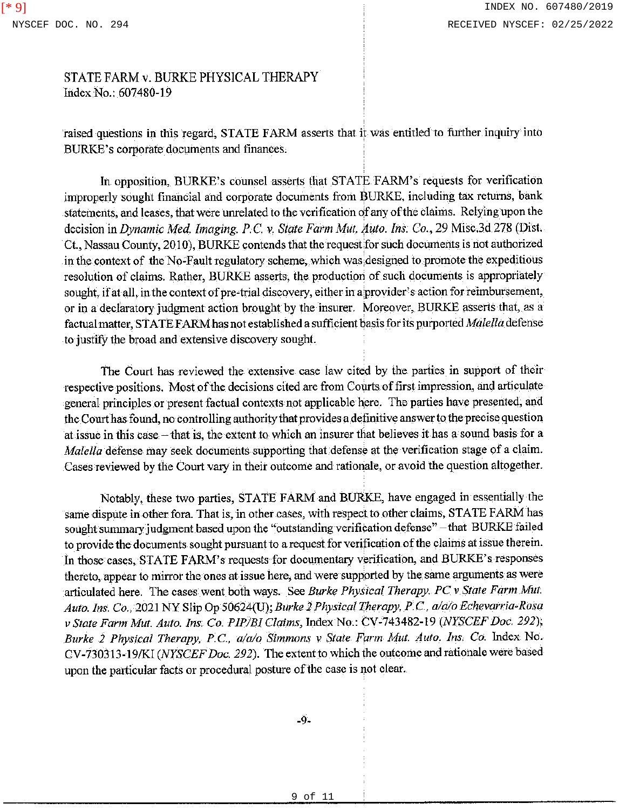raised questions in this regard, STATE FARM asserts that it was entitled to further inquiry into BURK.E's corporate documents and finances.

In opposition, BURKE's counsel asserts that STATE FARM's requests for verification improperly sought financial and corporate documents from BURKE, including tax returns, bank statements, and leases, that were unrelated to the verification of any of the claims. Relying upon the decision in *Dynamic Med. Imaging. P.C. v. State Farm Mut. Auto. Ins. Co.*, 29 Misc.3d 278 (Dist. Ct., Nassau County, 2010), BURKE contends that the request for such documents is not authorized in the context of the No-Fault regulatory scheme, which was,designed to promote the expeditious resolution of claims. Rather, BURKE asserts, the production of such documents is appropriately sought, if at all, in the context of pre-trial discovery, either in a provider's action for reimbursement, or in a declaratory judgment action brought by the insurer. Moreover, BURKE asserts that, as a factual matter, STATE FARM has not established a sufficient basis for its purported *Malella* defense to justify the broad and extensive discovery sought.

The Court has reviewed the extensive case law cited by the parties in support of their respective positions. Most of the decisions cited are from Courts of first impression, and articulate general principles or present factual contexts not applicable here. The parties have presented, and the Court has found, no controlling authority that provides a definitive answer to the precise question at issue in this case - that is, the extent to which an insurer that believes it has a sound basis for a *Malella* defense may seek documents supporting that defense at the verification stage of a claim. Cases reviewed by the Court vary in their outcome and rationale, or avoid the question altogether.

Notably, these two parties, STATE FARM and BURKE, have engaged in essentially the same dispute in other fora. That is, in other cases, with respect to other claims, STATE FARM has sought summary judgment based upon the ''outstanding verification defense" -that BURKE failed to provide the documents sought pursuant to a request for verification of the claims at issue therein. In those cases, STATE FARM's requests for documentary verification, and BURKE's responses thereto, appear to mirror the ones at issue here, and were supported by the same arguments as were articulated here. The cases went both ways. See *Burke Physical Therapy. PC v State Farm Mut. Auto. Ins. Co .•* 2021 NY Slip Op 50624(U); *Burke 2 Physical Therapy, P.* C., *a/a/o Echevarria-Rosa v State Farm Mut. Auto. Ins. Co. PIP/BJ Claims,* Index Na.: CV-743482-19 *(NYSCEF Doc. 292); Burke 2 Physical Therapy, P.C., a/a/o Simmons v State Farm Mut. Auto. Ins. Co. Index No.* CV-730313-19/KI *(NYSCEF Doc, 292).* The extent to which the outcome and rationale were based upon the particular facts or procedural posture of the case is not clear.

-9-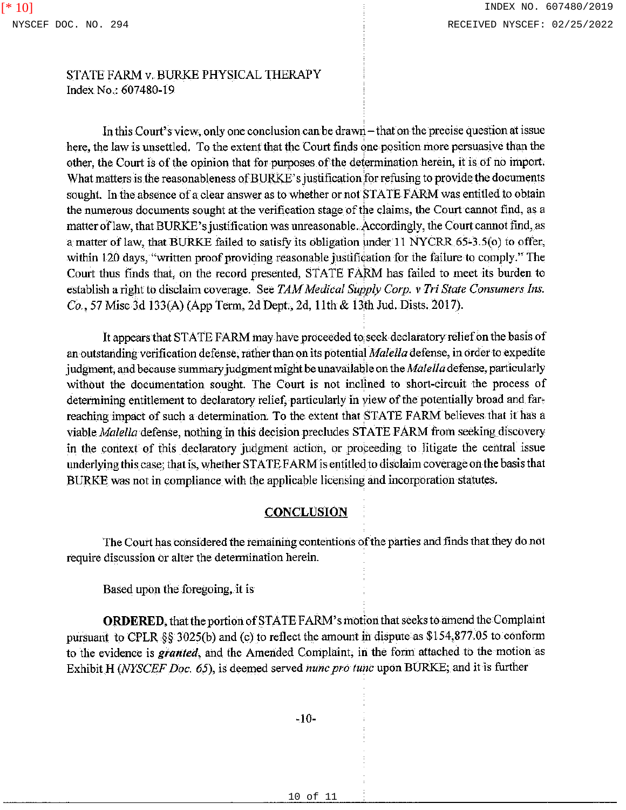In this Court's view, only one conclusion can be drawn-that on the precise question at issue here, the law is unsettled. To the extent that the Court finds one position more persuasive than the other, the Court is of the opinion that for purposes of the determination herein, it is of no import. What matters is the reasonableness of BURKE's justification for refusing to provide the documents sought. In the absence of a clear answer as to whether or not STATE FARM was entitled to obtain the numerous documents sought at the verification stage of the claims, the Court cannot find, as a matter of law, that BURKE's justification was unreasonable. Accordingly, the Court cannot find, as a matter of law, that BURKE failed to satisfy its obligation under 11 NYCRR 65-3.5(0) to offer, within 120 days, "written proof providing reasonable justification for the failure to comply." The Court thus finds that, on the record presented, STATE FARM has failed to meet its burden to establish a right to disclaim coverage. See *TAM Medical Supply Corp.* v *Tri State Consumers Ins. Co.,* 57 Misc 3d 133(A) (App Term, 2d Dept., 2d, !Ith & 13th Jud. Dists. 2017).

It appears that ST A TE FARM may have proceeded to; seek declaratory relief on the basis of an outstanding verification defense, rather than on its potential *Malella* defense, in Order to expedite judgment, and because summary judgment might be unavailable on the *Malella* defense, particularly without the documentation sought. The Court is not inclined to short-circuit the process of determining entitlement to declaratory relief, particularly in view of the potentially broad and farreaching impact of such a determination. To the extent that STATE FARM believes that it has a viable *Ma/el/a* defense, nothing in this decision precludes STATE FARM from seeking discovery in the context of this declaratory judgment action, or proceeding to litigate the central issue underlying this case; that is, whether ST ATE FARM is entitled to disclaim coverage on the basis that BURKE was not in compliance with the applicable licensing and incorporation statutes.

# **CONCLUSION**

The Court has considered the remaining contentions of the parties and finds that they do not require discussion or alter the determination herein.

Based upon the foregoing,, it is

**ORDERED,** that the portion of STATE F ARM's motion that seeks to amend the Complaint pursuant to CPLR §§ 3025(b) and (c) to reflect the amount in dispute as \$154,877.05 to conform to the evidence is granted, and the Amended Complaint, in the form attached to the motion as Exhibit H *(NYSCEF Doc. 65),* is deemed served *nunc pro tune* upon BURKE; and it is further

-IO-